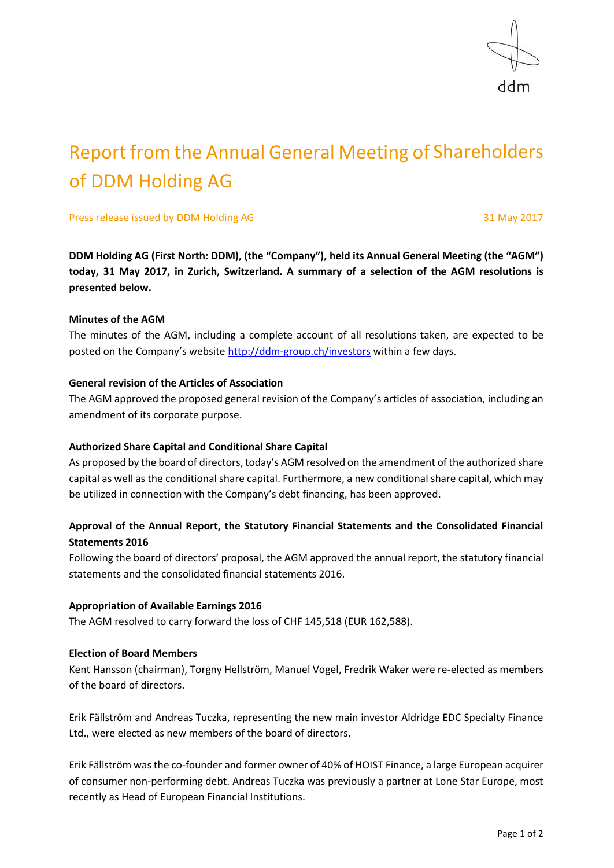

# Report from the Annual General Meeting of Shareholders of DDM Holding AG

Press release issued by DDM Holding AG 31 May 2017

**DDM Holding AG (First North: DDM), (the "Company"), held its Annual General Meeting (the "AGM") today, 31 May 2017, in Zurich, Switzerland. A summary of a selection of the AGM resolutions is presented below.**

# **Minutes of the AGM**

The minutes of the AGM, including a complete account of all resolutions taken, are expected to be posted on the Company's website <http://ddm-group.ch/investors> within a few days.

# **General revision of the Articles of Association**

The AGM approved the proposed general revision of the Company's articles of association, including an amendment of its corporate purpose.

# **Authorized Share Capital and Conditional Share Capital**

As proposed by the board of directors, today's AGM resolved on the amendment of the authorized share capital as well as the conditional share capital. Furthermore, a new conditional share capital, which may be utilized in connection with the Company's debt financing, has been approved.

# **Approval of the Annual Report, the Statutory Financial Statements and the Consolidated Financial Statements 2016**

Following the board of directors' proposal, the AGM approved the annual report, the statutory financial statements and the consolidated financial statements 2016.

#### **Appropriation of Available Earnings 2016**

The AGM resolved to carry forward the loss of CHF 145,518 (EUR 162,588).

#### **Election of Board Members**

Kent Hansson (chairman), Torgny Hellström, Manuel Vogel, Fredrik Waker were re-elected as members of the board of directors.

Erik Fällström and Andreas Tuczka, representing the new main investor Aldridge EDC Specialty Finance Ltd., were elected as new members of the board of directors.

Erik Fällström was the co-founder and former owner of 40% of HOIST Finance, a large European acquirer of consumer non-performing debt. Andreas Tuczka was previously a partner at Lone Star Europe, most recently as Head of European Financial Institutions.